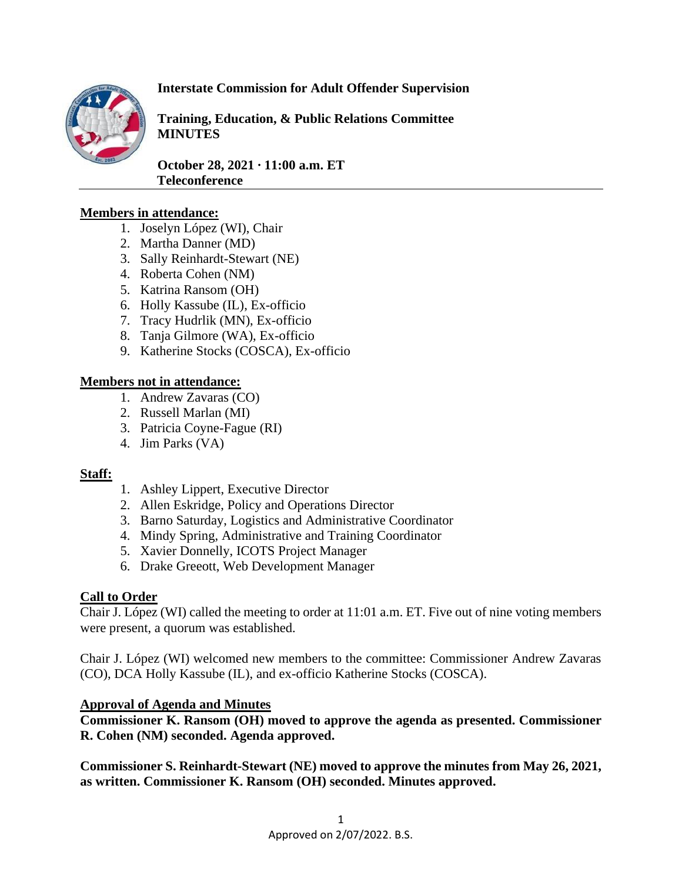

# **Interstate Commission for Adult Offender Supervision**

**Training, Education, & Public Relations Committee MINUTES**

**October 28, 2021 ∙ 11:00 a.m. ET Teleconference** 

### **Members in attendance:**

- 1. Joselyn López (WI), Chair
- 2. Martha Danner (MD)
- 3. Sally Reinhardt-Stewart (NE)
- 4. Roberta Cohen (NM)
- 5. Katrina Ransom (OH)
- 6. Holly Kassube (IL), Ex-officio
- 7. Tracy Hudrlik (MN), Ex-officio
- 8. Tanja Gilmore (WA), Ex-officio
- 9. Katherine Stocks (COSCA), Ex-officio

### **Members not in attendance:**

- 1. Andrew Zavaras (CO)
- 2. Russell Marlan (MI)
- 3. Patricia Coyne-Fague (RI)
- 4. Jim Parks (VA)

### **Staff:**

- 1. Ashley Lippert, Executive Director
- 2. Allen Eskridge, Policy and Operations Director
- 3. Barno Saturday, Logistics and Administrative Coordinator
- 4. Mindy Spring, Administrative and Training Coordinator
- 5. Xavier Donnelly, ICOTS Project Manager
- 6. Drake Greeott, Web Development Manager

### **Call to Order**

Chair J. López (WI) called the meeting to order at 11:01 a.m. ET. Five out of nine voting members were present, a quorum was established.

Chair J. López (WI) welcomed new members to the committee: Commissioner Andrew Zavaras (CO), DCA Holly Kassube (IL), and ex-officio Katherine Stocks (COSCA).

### **Approval of Agenda and Minutes**

**Commissioner K. Ransom (OH) moved to approve the agenda as presented. Commissioner R. Cohen (NM) seconded. Agenda approved.**

**Commissioner S. Reinhardt-Stewart (NE) moved to approve the minutes from May 26, 2021, as written. Commissioner K. Ransom (OH) seconded. Minutes approved.**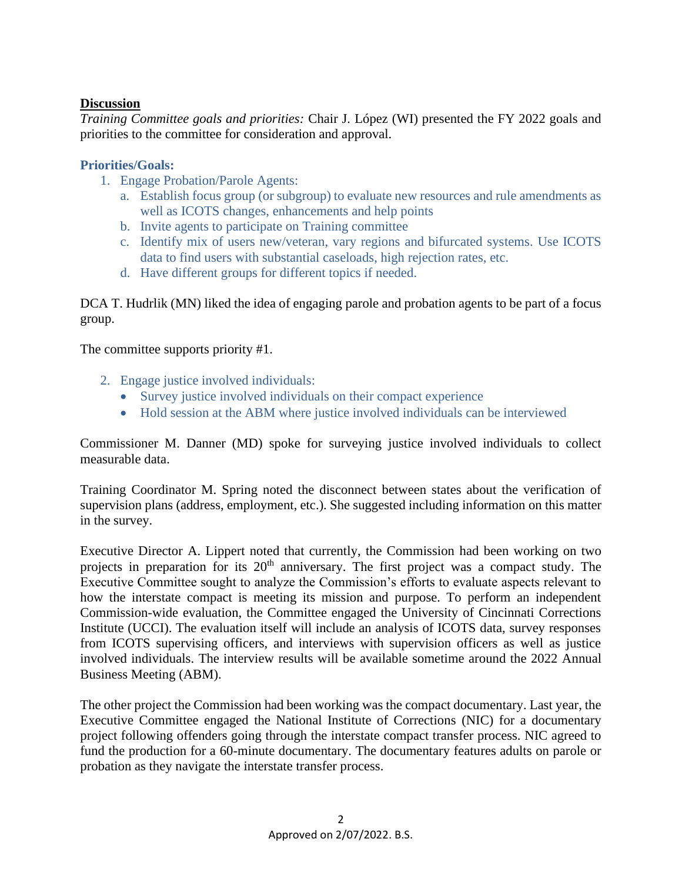### **Discussion**

*Training Committee goals and priorities:* Chair J. López (WI) presented the FY 2022 goals and priorities to the committee for consideration and approval.

### **Priorities/Goals:**

- 1. Engage Probation/Parole Agents:
	- a. Establish focus group (or subgroup) to evaluate new resources and rule amendments as well as ICOTS changes, enhancements and help points
	- b. Invite agents to participate on Training committee
	- c. Identify mix of users new/veteran, vary regions and bifurcated systems. Use ICOTS data to find users with substantial caseloads, high rejection rates, etc.
	- d. Have different groups for different topics if needed.

DCA T. Hudrlik (MN) liked the idea of engaging parole and probation agents to be part of a focus group.

The committee supports priority #1.

- 2. Engage justice involved individuals:
	- Survey justice involved individuals on their compact experience
	- Hold session at the ABM where justice involved individuals can be interviewed

Commissioner M. Danner (MD) spoke for surveying justice involved individuals to collect measurable data.

Training Coordinator M. Spring noted the disconnect between states about the verification of supervision plans (address, employment, etc.). She suggested including information on this matter in the survey.

Executive Director A. Lippert noted that currently, the Commission had been working on two projects in preparation for its  $20<sup>th</sup>$  anniversary. The first project was a compact study. The Executive Committee sought to analyze the Commission's efforts to evaluate aspects relevant to how the interstate compact is meeting its mission and purpose. To perform an independent Commission-wide evaluation, the Committee engaged the University of Cincinnati Corrections Institute (UCCI). The evaluation itself will include an analysis of ICOTS data, survey responses from ICOTS supervising officers, and interviews with supervision officers as well as justice involved individuals. The interview results will be available sometime around the 2022 Annual Business Meeting (ABM).

The other project the Commission had been working was the compact documentary. Last year, the Executive Committee engaged the National Institute of Corrections (NIC) for a documentary project following offenders going through the interstate compact transfer process. NIC agreed to fund the production for a 60-minute documentary. The documentary features adults on parole or probation as they navigate the interstate transfer process.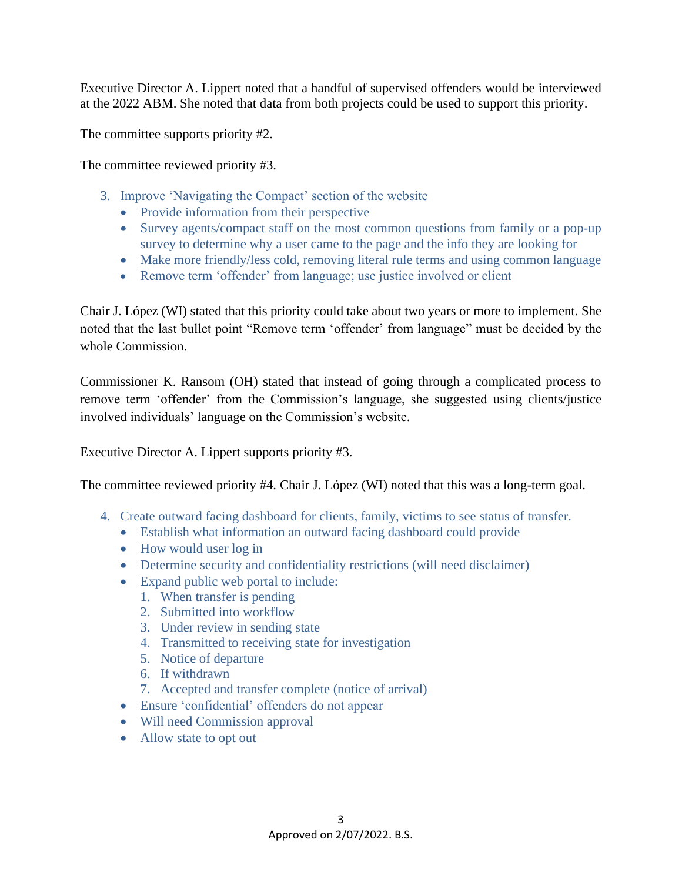Executive Director A. Lippert noted that a handful of supervised offenders would be interviewed at the 2022 ABM. She noted that data from both projects could be used to support this priority.

The committee supports priority #2.

The committee reviewed priority #3.

- 3. Improve 'Navigating the Compact' section of the website
	- Provide information from their perspective
	- Survey agents/compact staff on the most common questions from family or a pop-up survey to determine why a user came to the page and the info they are looking for
	- Make more friendly/less cold, removing literal rule terms and using common language
	- Remove term 'offender' from language; use justice involved or client

Chair J. López (WI) stated that this priority could take about two years or more to implement. She noted that the last bullet point "Remove term 'offender' from language" must be decided by the whole Commission.

Commissioner K. Ransom (OH) stated that instead of going through a complicated process to remove term 'offender' from the Commission's language, she suggested using clients/justice involved individuals' language on the Commission's website.

Executive Director A. Lippert supports priority #3.

The committee reviewed priority #4. Chair J. López (WI) noted that this was a long-term goal.

- 4. Create outward facing dashboard for clients, family, victims to see status of transfer.
	- Establish what information an outward facing dashboard could provide
	- How would user log in
	- Determine security and confidentiality restrictions (will need disclaimer)
	- Expand public web portal to include:
		- 1. When transfer is pending
		- 2. Submitted into workflow
		- 3. Under review in sending state
		- 4. Transmitted to receiving state for investigation
		- 5. Notice of departure
		- 6. If withdrawn
		- 7. Accepted and transfer complete (notice of arrival)
	- Ensure 'confidential' offenders do not appear
	- Will need Commission approval
	- Allow state to opt out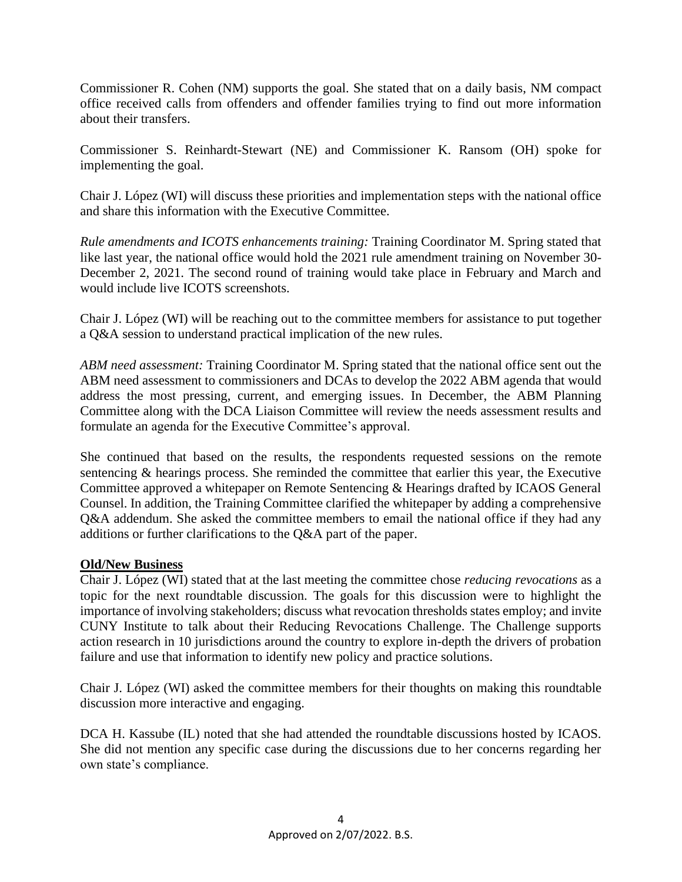Commissioner R. Cohen (NM) supports the goal. She stated that on a daily basis, NM compact office received calls from offenders and offender families trying to find out more information about their transfers.

Commissioner S. Reinhardt-Stewart (NE) and Commissioner K. Ransom (OH) spoke for implementing the goal.

Chair J. López (WI) will discuss these priorities and implementation steps with the national office and share this information with the Executive Committee.

*Rule amendments and ICOTS enhancements training:* Training Coordinator M. Spring stated that like last year, the national office would hold the 2021 rule amendment training on November 30- December 2, 2021. The second round of training would take place in February and March and would include live ICOTS screenshots.

Chair J. López (WI) will be reaching out to the committee members for assistance to put together a Q&A session to understand practical implication of the new rules.

*ABM need assessment:* Training Coordinator M. Spring stated that the national office sent out the ABM need assessment to commissioners and DCAs to develop the 2022 ABM agenda that would address the most pressing, current, and emerging issues. In December, the ABM Planning Committee along with the DCA Liaison Committee will review the needs assessment results and formulate an agenda for the Executive Committee's approval.

She continued that based on the results, the respondents requested sessions on the remote sentencing & hearings process. She reminded the committee that earlier this year, the Executive Committee approved a whitepaper on Remote Sentencing & Hearings drafted by ICAOS General Counsel. In addition, the Training Committee clarified the whitepaper by adding a comprehensive Q&A addendum. She asked the committee members to email the national office if they had any additions or further clarifications to the Q&A part of the paper.

# **Old/New Business**

Chair J. López (WI) stated that at the last meeting the committee chose *reducing revocations* as a topic for the next roundtable discussion. The goals for this discussion were to highlight the importance of involving stakeholders; discuss what revocation thresholds states employ; and invite CUNY Institute to talk about their Reducing Revocations Challenge. The Challenge supports action research in 10 jurisdictions around the country to explore in-depth the drivers of probation failure and use that information to identify new policy and practice solutions.

Chair J. López (WI) asked the committee members for their thoughts on making this roundtable discussion more interactive and engaging.

DCA H. Kassube (IL) noted that she had attended the roundtable discussions hosted by ICAOS. She did not mention any specific case during the discussions due to her concerns regarding her own state's compliance.